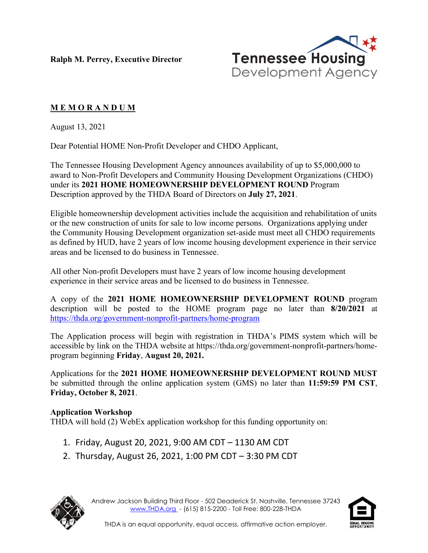**Ralph M. Perrey, Executive Director**



## **M E M O R A N D U M**

August 13, 2021

Dear Potential HOME Non-Profit Developer and CHDO Applicant,

The Tennessee Housing Development Agency announces availability of up to \$5,000,000 to award to Non-Profit Developers and Community Housing Development Organizations (CHDO) under its **2021 HOME HOMEOWNERSHIP DEVELOPMENT ROUND** Program Description approved by the THDA Board of Directors on **July 27, 2021**.

Eligible homeownership development activities include the acquisition and rehabilitation of units or the new construction of units for sale to low income persons. Organizations applying under the Community Housing Development organization set-aside must meet all CHDO requirements as defined by HUD, have 2 years of low income housing development experience in their service areas and be licensed to do business in Tennessee.

All other Non-profit Developers must have 2 years of low income housing development experience in their service areas and be licensed to do business in Tennessee.

A copy of the **2021 HOME HOMEOWNERSHIP DEVELOPMENT ROUND** program description will be posted to the HOME program page no later than **8/20/2021** at <https://thda.org/government-nonprofit-partners/home-program>

The Application process will begin with registration in THDA's PIMS system which will be accessible by link on the THDA website at https://thda.org/government-nonprofit-partners/homeprogram beginning **Friday**, **August 20, 2021.**

Applications for the **2021 HOME HOMEOWNERSHIP DEVELOPMENT ROUND MUST** be submitted through the online application system (GMS) no later than **11:59:59 PM CST**, **Friday, October 8, 2021**.

## **Application Workshop**

THDA will hold (2) WebEx application workshop for this funding opportunity on:

- 1. Friday, August 20, 2021, 9:00 AM CDT 1130 AM CDT
- 2. Thursday, August 26, 2021, 1:00 PM CDT 3:30 PM CDT



Andrew Jackson Building Third Floor - 502 Deaderick St. Nashville, Tennessee 37243 [www.THDA.org](http://www.thda.org/) - (615) 815-2200 - Toll Free: 800-228-THDA